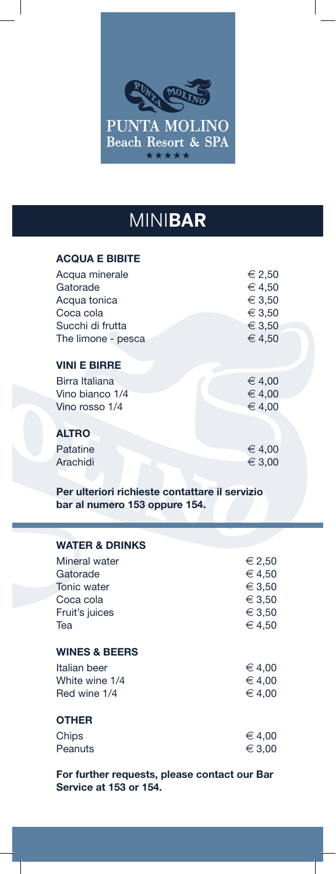

## MINI**BAR**

## **ACQUA E BIBITE**

| Acqua minerale      | € 2,50 |
|---------------------|--------|
| Gatorade            | € 4,50 |
| Acqua tonica        | € 3,50 |
| Coca cola           | € 3,50 |
| Succhi di frutta    | € 3,50 |
| The limone - pesca  | € 4,50 |
|                     |        |
| <b>VINI E BIRRE</b> |        |
| Birra Italiana      | € 4,00 |
| Vino bianco 1/4     | € 4,00 |
| Vino rosso 1/4      | € 4,00 |
|                     |        |
| <b>ALTRO</b>        |        |
| Patatine            | € 4,00 |
| Arachidi            | ∈ 3,00 |
|                     |        |

**Per ulteriori richieste contattare il servizio bar al numero 153 oppure 154.**

| <b>WATER &amp; DRINKS</b> |          |
|---------------------------|----------|
| Mineral water             | € 2,50   |
| Gatorade                  | € 4,50   |
| Tonic water               | € 3,50   |
| Coca cola                 | € 3,50   |
| Fruit's juices            | € 3,50   |
| Tea                       | € 4,50   |
| <b>WINES &amp; BEERS</b>  |          |
| Italian beer              | € 4,00   |
| White wine 1/4            | € 4,00   |
| Red wine 1/4              | € 4,00   |
| <b>OTHER</b>              |          |
| Chips                     | $∈$ 4,00 |
| Peanuts                   | ∈ 3,00   |

**For further requests, please contact our Bar Service at 153 or 154.**